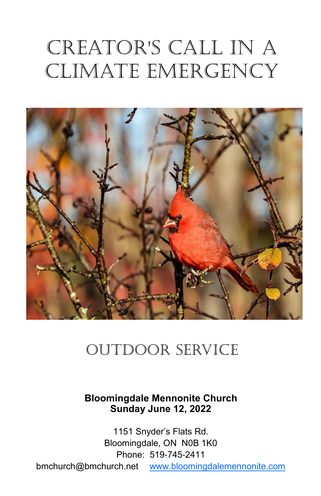# Creator's Call in a Climate Emergency



# outdoor service

## **Bloomingdale Mennonite Church Sunday June 12, 2022**

1151 Snyder's Flats Rd. Bloomingdale, ON N0B 1K0 Phone: 519-745-2411 bmchurch@bmchurch.net [www.bloomingdalemennonite.com](http://www.bloomingdalemennonite.com/)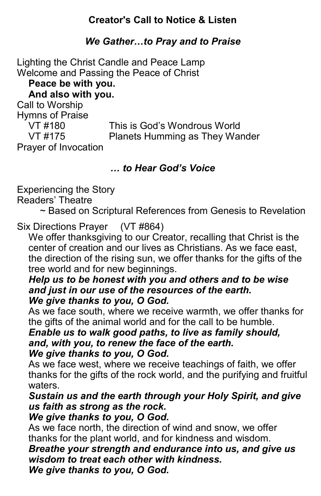# **Creator's Call to Notice & Listen**

# *We Gather…to Pray and to Praise*

Lighting the Christ Candle and Peace Lamp Welcome and Passing the Peace of Christ **Peace be with you. And also with you.** Call to Worship Hymns of Praise VT #180 This is God's Wondrous World VT #175 Planets Humming as They Wander Prayer of Invocation

# *… to Hear God's Voice*

Experiencing the Story

Readers' Theatre

~ Based on Scriptural References from Genesis to Revelation

# Six Directions Prayer (VT #864)

We offer thanksgiving to our Creator, recalling that Christ is the center of creation and our lives as Christians. As we face east, the direction of the rising sun, we offer thanks for the gifts of the tree world and for new beginnings.

#### *Help us to be honest with you and others and to be wise and just in our use of the resources of the earth. We give thanks to you, O God.*

As we face south, where we receive warmth, we offer thanks for the gifts of the animal world and for the call to be humble.

*Enable us to walk good paths, to live as family should, and, with you, to renew the face of the earth. We give thanks to you, O God.* 

As we face west, where we receive teachings of faith, we offer thanks for the gifts of the rock world, and the purifying and fruitful waters.

# *Sustain us and the earth through your Holy Spirit, and give us faith as strong as the rock.*

#### *We give thanks to you, O God.*

As we face north, the direction of wind and snow, we offer thanks for the plant world, and for kindness and wisdom.

*Breathe your strength and endurance into us, and give us wisdom to treat each other with kindness.* 

*We give thanks to you, O God.*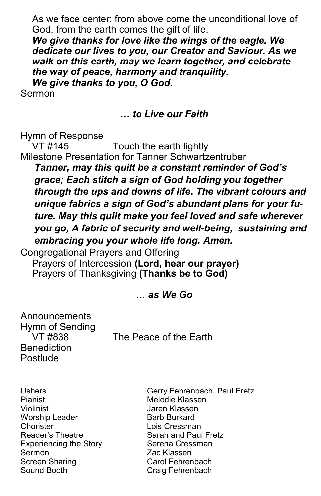As we face center: from above come the unconditional love of God, from the earth comes the gift of life.

*We give thanks for love like the wings of the eagle. We dedicate our lives to you, our Creator and Saviour. As we walk on this earth, may we learn together, and celebrate the way of peace, harmony and tranquility.* 

*We give thanks to you, O God.* 

Sermon

#### *… to Live our Faith*

Hymn of Response

VT #145 Touch the earth lightly Milestone Presentation for Tanner Schwartzentruber *Tanner, may this quilt be a constant reminder of God's grace; Each stitch a sign of God holding you together through the ups and downs of life***.** *The vibrant colours and unique fabrics a sign of God's abundant plans for your future. May this quilt make you feel loved and safe wherever you go, A fabric of security and well-being, sustaining and embracing you your whole life long. Amen.*

Congregational Prayers and Offering

Prayers of Intercession **(Lord, hear our prayer)** Prayers of Thanksgiving **(Thanks be to God)**

#### *… as We Go*

Announcements Hymn of Sending **Benediction** Postlude

VT #838 The Peace of the Earth

Pianist Melodie Klassen Violinist Jaren Klassen Worship Leader **Barb Burkard** Chorister Lois Cressman Reader's Theatre Sarah and Paul Fretz Experiencing the Story Serena Cressman Sermon Zac Klassen Screen Sharing Carol Fehrenbach Sound Booth Craig Fehrenbach

Ushers Gerry Fehrenbach, Paul Fretz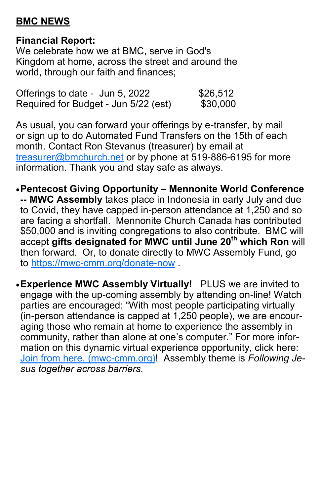# **BMC NEWS**

# **Financial Report:**

We celebrate how we at BMC, serve in God's Kingdom at home, across the street and around the world, through our faith and finances;

| Offerings to date - Jun 5, 2022      | \$26,512 |
|--------------------------------------|----------|
| Required for Budget - Jun 5/22 (est) | \$30,000 |

As usual, you can forward your offerings by e-transfer, by mail or sign up to do Automated Fund Transfers on the 15th of each month. Contact Ron Stevanus (treasurer) by email at [treasurer@bmchurch.net](mailto:treasurer@bmchurch.net) or by phone at 519-886-6195 for more information. Thank you and stay safe as always.

- •**Pentecost Giving Opportunity – Mennonite World Conference -- MWC Assembly** takes place in Indonesia in early July and due to Covid, they have capped in-person attendance at 1,250 and so are facing a shortfall. Mennonite Church Canada has contributed \$50,000 and is inviting congregations to also contribute. BMC will accept **gifts designated for MWC until June 20th which Ron** will then forward. Or, to donate directly to MWC Assembly Fund, go to <https://mwc-cmm.org/donate-now> .
- •**Experience MWC Assembly Virtually!** PLUS we are invited to engage with the up-coming assembly by attending on-line! Watch parties are encouraged: "With most people participating virtually (in-person attendance is capped at 1,250 people), we are encouraging those who remain at home to experience the assembly in community, rather than alone at one's computer." For more information on this dynamic virtual experience opportunity, click here: [Join from here, \(mwc-cmm.org\)!](https://mwc-cmm.org/civicrm/mailing/view?reset=1&id=1166&cid=54179&cs=b8e510823fb9e201a7c2eb933b075298_1649437465_360) Assembly theme is *Following Jesus together across barriers.*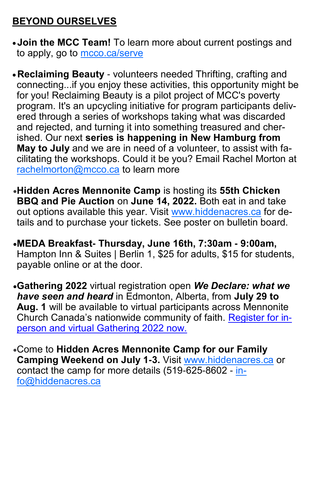# **BEYOND OURSELVES**

- •**Join the MCC Team!** To learn more about current postings and to apply, go to [mcco.ca/serve](https://mennonitecentralcommittee.cmail19.com/t/i-l-cdylkyk-tyiuhytuuk-d/)
- •**Reclaiming Beauty**  volunteers needed Thrifting, crafting and connecting...if you enjoy these activities, this opportunity might be for you! Reclaiming Beauty is a pilot project of MCC's poverty program. It's an upcycling initiative for program participants delivered through a series of workshops taking what was discarded and rejected, and turning it into something treasured and cherished. Our next **series is happening in New Hamburg from May to July** and we are in need of a volunteer, to assist with facilitating the workshops. Could it be you? Email Rachel Morton at [rachelmorton@mcco.ca](mailto:rachelmorton@mcco.ca) to learn more
- •**Hidden Acres Mennonite Camp** is hosting its **55th Chicken BBQ and Pie Auction** on **June 14, 2022.** Both eat in and take out options available this year. Visit [www.hiddenacres.ca](http://www.hiddenacres.ca/) for details and to purchase your tickets. See poster on bulletin board.
- •**MEDA Breakfast- Thursday, June 16th, 7:30am - 9:00am,**  Hampton Inn & Suites | Berlin 1, \$25 for adults, \$15 for students, payable online or at the door.
- •**Gathering 2022** virtual registration open *We Declare: what we have seen and heard* in Edmonton, Alberta, from **July 29 to Aug. 1** will be available to virtual participants across Mennonite Church Canada's nationwide community of faith. [Register for in](https://mcec.us20.list-manage.com/track/click?u=148d8aa0248ccb8acc31f00a2&id=27e4b4c7af&e=7cf3365c41)[person and virtual Gathering 2022 now.](https://mcec.us20.list-manage.com/track/click?u=148d8aa0248ccb8acc31f00a2&id=27e4b4c7af&e=7cf3365c41)
- •Come to **Hidden Acres Mennonite Camp for our Family Camping Weekend on July 1-3.** Visit [www.hiddenacres.ca](http://www.hiddenacres.ca) or contact the camp for more details (519-625-8602 - [in](mailto:info@hiddenacres.ca)[fo@hiddenacres.ca](mailto:info@hiddenacres.ca)